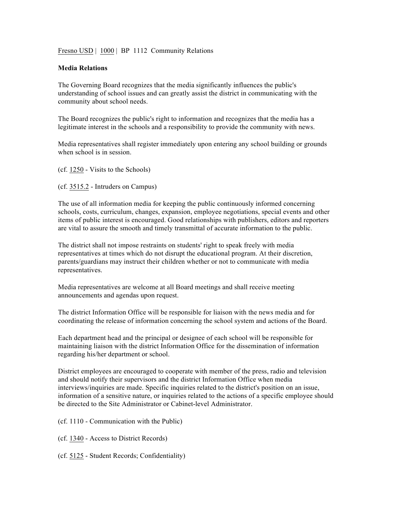## Fresno USD | 1000 | BP 1112 Community Relations

## **Media Relations**

The Governing Board recognizes that the media significantly influences the public's understanding of school issues and can greatly assist the district in communicating with the community about school needs.

The Board recognizes the public's right to information and recognizes that the media has a legitimate interest in the schools and a responsibility to provide the community with news.

Media representatives shall register immediately upon entering any school building or grounds when school is in session.

(cf. 1250 - Visits to the Schools)

(cf. 3515.2 - Intruders on Campus)

The use of all information media for keeping the public continuously informed concerning schools, costs, curriculum, changes, expansion, employee negotiations, special events and other items of public interest is encouraged. Good relationships with publishers, editors and reporters are vital to assure the smooth and timely transmittal of accurate information to the public.

The district shall not impose restraints on students' right to speak freely with media representatives at times which do not disrupt the educational program. At their discretion, parents/guardians may instruct their children whether or not to communicate with media representatives.

Media representatives are welcome at all Board meetings and shall receive meeting announcements and agendas upon request.

The district Information Office will be responsible for liaison with the news media and for coordinating the release of information concerning the school system and actions of the Board.

Each department head and the principal or designee of each school will be responsible for maintaining liaison with the district Information Office for the dissemination of information regarding his/her department or school.

District employees are encouraged to cooperate with member of the press, radio and television and should notify their supervisors and the district Information Office when media interviews/inquiries are made. Specific inquiries related to the district's position on an issue, information of a sensitive nature, or inquiries related to the actions of a specific employee should be directed to the Site Administrator or Cabinet-level Administrator.

(cf. 1110 - Communication with the Public)

(cf. 1340 - Access to District Records)

(cf. 5125 - Student Records; Confidentiality)